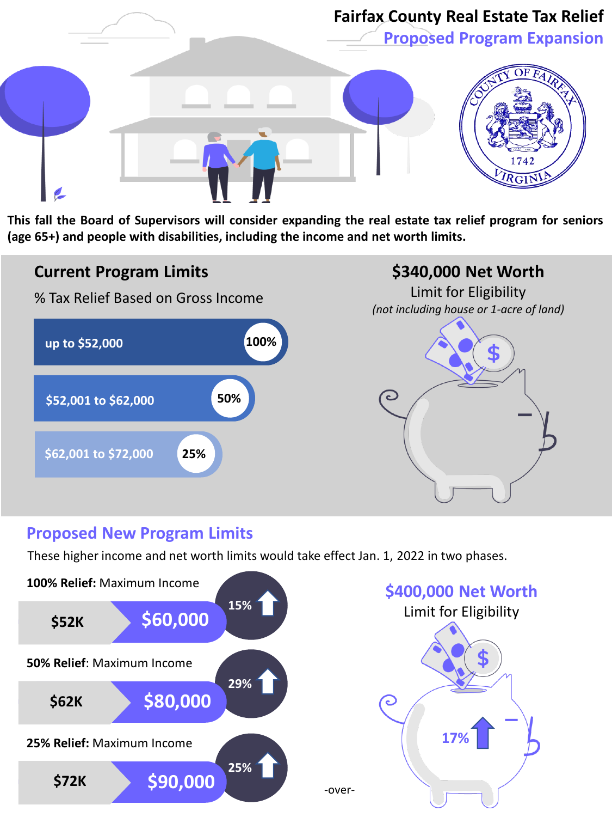## **Fairfax County Real Estate Tax Relief**

**Proposed Program Expansion**



**This fall the Board of Supervisors will consider expanding the real estate tax relief program for seniors (age 65+) and people with disabilities, including the income and net worth limits.**

# % Tax Relief Based on Gross Income **\$52,001 to \$62,000 50% \$62,001 to \$72,000 25% up to \$52,000 100%**

#### **Current Program Limits 1986 \$340,000 Net Worth**

Limit for Eligibility *(not including house or 1-acre of land)*



### **Proposed New Program Limits**

These higher income and net worth limits would take effect Jan. 1, 2022 in two phases.